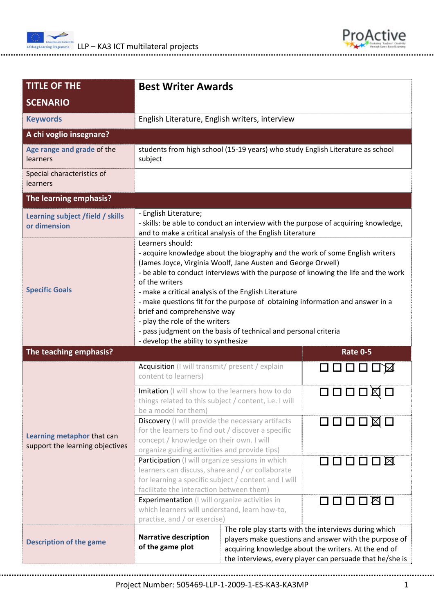



| <b>TITLE OF THE</b><br><b>SCENARIO</b>                        | <b>Best Writer Awards</b>                                                                                                                                                                                                                                                                                                                                                                                                                                                                                                                                                                   |                                                                                                                                                                                                                                    |                                      |  |  |
|---------------------------------------------------------------|---------------------------------------------------------------------------------------------------------------------------------------------------------------------------------------------------------------------------------------------------------------------------------------------------------------------------------------------------------------------------------------------------------------------------------------------------------------------------------------------------------------------------------------------------------------------------------------------|------------------------------------------------------------------------------------------------------------------------------------------------------------------------------------------------------------------------------------|--------------------------------------|--|--|
| <b>Keywords</b>                                               | English Literature, English writers, interview                                                                                                                                                                                                                                                                                                                                                                                                                                                                                                                                              |                                                                                                                                                                                                                                    |                                      |  |  |
| A chi voglio insegnare?                                       |                                                                                                                                                                                                                                                                                                                                                                                                                                                                                                                                                                                             |                                                                                                                                                                                                                                    |                                      |  |  |
| Age range and grade of the<br>learners                        | students from high school (15-19 years) who study English Literature as school<br>subject                                                                                                                                                                                                                                                                                                                                                                                                                                                                                                   |                                                                                                                                                                                                                                    |                                      |  |  |
| Special characteristics of<br>learners                        |                                                                                                                                                                                                                                                                                                                                                                                                                                                                                                                                                                                             |                                                                                                                                                                                                                                    |                                      |  |  |
| The learning emphasis?                                        |                                                                                                                                                                                                                                                                                                                                                                                                                                                                                                                                                                                             |                                                                                                                                                                                                                                    |                                      |  |  |
| Learning subject /field / skills<br>or dimension              | - English Literature;<br>- skills: be able to conduct an interview with the purpose of acquiring knowledge,<br>and to make a critical analysis of the English Literature                                                                                                                                                                                                                                                                                                                                                                                                                    |                                                                                                                                                                                                                                    |                                      |  |  |
| <b>Specific Goals</b>                                         | Learners should:<br>- acquire knowledge about the biography and the work of some English writers<br>(James Joyce, Virginia Woolf, Jane Austen and George Orwell)<br>- be able to conduct interviews with the purpose of knowing the life and the work<br>of the writers<br>- make a critical analysis of the English Literature<br>- make questions fit for the purpose of obtaining information and answer in a<br>brief and comprehensive way<br>- play the role of the writers<br>- pass judgment on the basis of technical and personal criteria<br>- develop the ability to synthesize |                                                                                                                                                                                                                                    |                                      |  |  |
| The teaching emphasis?                                        |                                                                                                                                                                                                                                                                                                                                                                                                                                                                                                                                                                                             |                                                                                                                                                                                                                                    | <b>Rate 0-5</b>                      |  |  |
| Learning metaphor that can<br>support the learning objectives | Acquisition (I will transmit/ present / explain<br>content to learners)                                                                                                                                                                                                                                                                                                                                                                                                                                                                                                                     |                                                                                                                                                                                                                                    | 口口口口囚                                |  |  |
|                                                               | Imitation (I will show to the learners how to do<br>things related to this subject / content, i.e. I will<br>be a model for them)                                                                                                                                                                                                                                                                                                                                                                                                                                                           |                                                                                                                                                                                                                                    | 0001                                 |  |  |
|                                                               | Discovery (I will provide the necessary artifacts<br>for the learners to find out / discover a specific<br>concept / knowledge on their own. I will<br>organize guiding activities and provide tips)                                                                                                                                                                                                                                                                                                                                                                                        |                                                                                                                                                                                                                                    | $\Box \Box \Box \Box \boxtimes \Box$ |  |  |
|                                                               | Participation (I will organize sessions in which<br>learners can discuss, share and / or collaborate<br>for learning a specific subject / content and I will<br>facilitate the interaction between them)                                                                                                                                                                                                                                                                                                                                                                                    |                                                                                                                                                                                                                                    | 00000¤                               |  |  |
|                                                               | <b>Experimentation</b> (I will organize activities in<br>which learners will understand, learn how-to,<br>practise, and / or exercise)                                                                                                                                                                                                                                                                                                                                                                                                                                                      |                                                                                                                                                                                                                                    |                                      |  |  |
| <b>Description of the game</b>                                | <b>Narrative description</b><br>of the game plot                                                                                                                                                                                                                                                                                                                                                                                                                                                                                                                                            | The role play starts with the interviews during which<br>players make questions and answer with the purpose of<br>acquiring knowledge about the writers. At the end of<br>the interviews, every player can persuade that he/she is |                                      |  |  |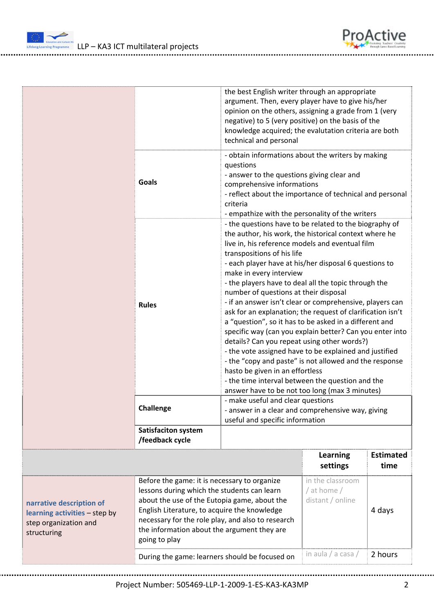

|                                                                                                   |                                                                                                                                                                                                                                                                                                                  | the best English writer through an appropriate<br>argument. Then, every player have to give his/her<br>opinion on the others, assigning a grade from 1 (very<br>negative) to 5 (very positive) on the basis of the<br>knowledge acquired; the evalutation criteria are both<br>technical and personal                                                                                                                                                                                                                                                                                                                                                                                                                                                                                                                                                                                                                                             |                                                       |                          |  |
|---------------------------------------------------------------------------------------------------|------------------------------------------------------------------------------------------------------------------------------------------------------------------------------------------------------------------------------------------------------------------------------------------------------------------|---------------------------------------------------------------------------------------------------------------------------------------------------------------------------------------------------------------------------------------------------------------------------------------------------------------------------------------------------------------------------------------------------------------------------------------------------------------------------------------------------------------------------------------------------------------------------------------------------------------------------------------------------------------------------------------------------------------------------------------------------------------------------------------------------------------------------------------------------------------------------------------------------------------------------------------------------|-------------------------------------------------------|--------------------------|--|
|                                                                                                   | <b>Goals</b>                                                                                                                                                                                                                                                                                                     | - obtain informations about the writers by making<br>questions<br>- answer to the questions giving clear and<br>comprehensive informations<br>- reflect about the importance of technical and personal<br>criteria<br>- empathize with the personality of the writers                                                                                                                                                                                                                                                                                                                                                                                                                                                                                                                                                                                                                                                                             |                                                       |                          |  |
|                                                                                                   | <b>Rules</b>                                                                                                                                                                                                                                                                                                     | - the questions have to be related to the biography of<br>the author, his work, the historical context where he<br>live in, his reference models and eventual film<br>transpositions of his life<br>- each player have at his/her disposal 6 questions to<br>make in every interview<br>- the players have to deal all the topic through the<br>number of questions at their disposal<br>- if an answer isn't clear or comprehensive, players can<br>ask for an explanation; the request of clarification isn't<br>a "question", so it has to be asked in a different and<br>specific way (can you explain better? Can you enter into<br>details? Can you repeat using other words?)<br>- the vote assigned have to be explained and justified<br>- the "copy and paste" is not allowed and the response<br>hasto be given in an effortless<br>- the time interval between the question and the<br>answer have to be not too long (max 3 minutes) |                                                       |                          |  |
|                                                                                                   | Challenge                                                                                                                                                                                                                                                                                                        | - make useful and clear questions<br>useful and specific information                                                                                                                                                                                                                                                                                                                                                                                                                                                                                                                                                                                                                                                                                                                                                                                                                                                                              | - answer in a clear and comprehensive way, giving     |                          |  |
|                                                                                                   | <b>Satisfaciton system</b><br>/feedback cycle                                                                                                                                                                                                                                                                    |                                                                                                                                                                                                                                                                                                                                                                                                                                                                                                                                                                                                                                                                                                                                                                                                                                                                                                                                                   |                                                       |                          |  |
|                                                                                                   |                                                                                                                                                                                                                                                                                                                  |                                                                                                                                                                                                                                                                                                                                                                                                                                                                                                                                                                                                                                                                                                                                                                                                                                                                                                                                                   | <b>Learning</b><br>settings                           | <b>Estimated</b><br>time |  |
| narrative description of<br>learning activities - step by<br>step organization and<br>structuring | Before the game: it is necessary to organize<br>lessons during which the students can learn<br>about the use of the Eutopia game, about the<br>English Literature, to acquire the knowledge<br>necessary for the role play, and also to research<br>the information about the argument they are<br>going to play |                                                                                                                                                                                                                                                                                                                                                                                                                                                                                                                                                                                                                                                                                                                                                                                                                                                                                                                                                   | in the classroom<br>/ at home $/$<br>distant / online | 4 days                   |  |
|                                                                                                   | During the game: learners should be focused on                                                                                                                                                                                                                                                                   |                                                                                                                                                                                                                                                                                                                                                                                                                                                                                                                                                                                                                                                                                                                                                                                                                                                                                                                                                   | in aula / a casa /                                    | 2 hours                  |  |

ProActive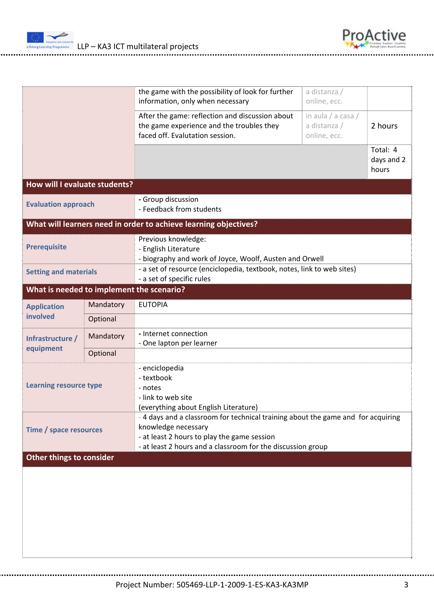



|                                                                                                                                                                                                                                                 |           | the game with the possibility of look for further<br>information, only when necessary                                           | a distanza /<br>online, ecc.                       |                                 |  |  |
|-------------------------------------------------------------------------------------------------------------------------------------------------------------------------------------------------------------------------------------------------|-----------|---------------------------------------------------------------------------------------------------------------------------------|----------------------------------------------------|---------------------------------|--|--|
|                                                                                                                                                                                                                                                 |           | After the game: reflection and discussion about<br>the game experience and the troubles they<br>faced off. Evalutation session. | in aula / a casa /<br>a distanza /<br>online, ecc. | 2 hours                         |  |  |
|                                                                                                                                                                                                                                                 |           |                                                                                                                                 |                                                    | Total: 4<br>days and 2<br>hours |  |  |
| How will I evaluate students?                                                                                                                                                                                                                   |           |                                                                                                                                 |                                                    |                                 |  |  |
| <b>Evaluation approach</b>                                                                                                                                                                                                                      |           | - Group discussion<br>- Feedback from students                                                                                  |                                                    |                                 |  |  |
|                                                                                                                                                                                                                                                 |           | What will learners need in order to achieve learning objectives?                                                                |                                                    |                                 |  |  |
| <b>Prerequisite</b>                                                                                                                                                                                                                             |           | Previous knowledge:<br>- English Literature<br>- biography and work of Joyce, Woolf, Austen and Orwell                          |                                                    |                                 |  |  |
| <b>Setting and materials</b>                                                                                                                                                                                                                    |           | - a set of resource (enciclopedia, textbook, notes, link to web sites)<br>- a set of specific rules                             |                                                    |                                 |  |  |
| What is needed to implement the scenario?                                                                                                                                                                                                       |           |                                                                                                                                 |                                                    |                                 |  |  |
| <b>Application</b>                                                                                                                                                                                                                              | Mandatory | <b>EUTOPIA</b>                                                                                                                  |                                                    |                                 |  |  |
| involved                                                                                                                                                                                                                                        | Optional  |                                                                                                                                 |                                                    |                                 |  |  |
| Infrastructure /                                                                                                                                                                                                                                | Mandatory | - Internet connection<br>- One lapton per learner                                                                               |                                                    |                                 |  |  |
| equipment                                                                                                                                                                                                                                       | Optional  |                                                                                                                                 |                                                    |                                 |  |  |
| <b>Learning resource type</b>                                                                                                                                                                                                                   |           | - enciclopedia<br>- textbook<br>- notes<br>- link to web site<br>(everything about English Literature)                          |                                                    |                                 |  |  |
| - 4 days and a classroom for technical training about the game and for acquiring<br>knowledge necessary<br>Time / space resources<br>- at least 2 hours to play the game session<br>- at least 2 hours and a classroom for the discussion group |           |                                                                                                                                 |                                                    |                                 |  |  |
| Other things to consider                                                                                                                                                                                                                        |           |                                                                                                                                 |                                                    |                                 |  |  |
|                                                                                                                                                                                                                                                 |           |                                                                                                                                 |                                                    |                                 |  |  |
|                                                                                                                                                                                                                                                 |           |                                                                                                                                 |                                                    |                                 |  |  |
|                                                                                                                                                                                                                                                 |           |                                                                                                                                 |                                                    |                                 |  |  |

Project Number: 505469‐LLP‐1‐2009‐1‐ES‐KA3‐KA3MP 3